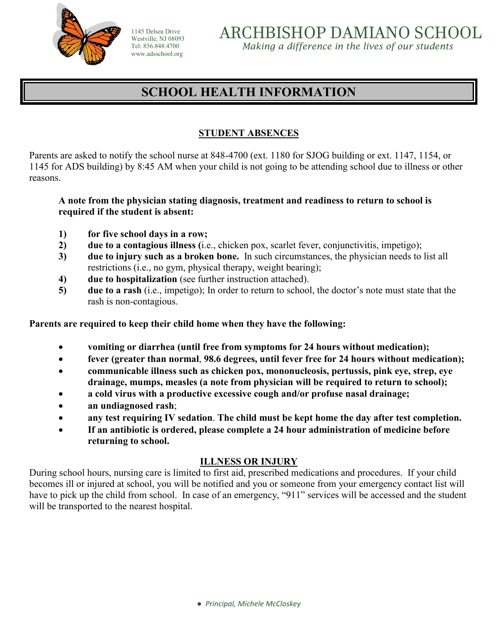

1145 Delsea Drive Westville, NJ 08093 Tel: 856.848.4700 www.adsschool.org

ARCHBISHOP DAMIANO SCHOOL *Making a difference in the lives of our students* 

# **SCHOOL HEALTH INFORMATION**

# **STUDENT ABSENCES**

Parents are asked to notify the school nurse at 848-4700 (ext. 1180 for SJOG building or ext. 1147, 1154, or 1145 for ADS building) by 8:45 AM when your child is not going to be attending school due to illness or other reasons.

#### **A note from the physician stating diagnosis, treatment and readiness to return to school is required if the student is absent:**

- **1) for five school days in a row;**
- **2) due to a contagious illness (**i.e., chicken pox, scarlet fever, conjunctivitis, impetigo);
- **3) due to injury such as a broken bone.** In such circumstances, the physician needs to list all restrictions (i.e., no gym, physical therapy, weight bearing);
- **4) due to hospitalization** (see further instruction attached).
- **5) due to a rash** (i.e., impetigo); In order to return to school, the doctor's note must state that the rash is non-contagious.

**Parents are required to keep their child home when they have the following:**

- **vomiting or diarrhea (until free from symptoms for 24 hours without medication);**
- **fever (greater than normal**, **98.6 degrees, until fever free for 24 hours without medication);**
- **communicable illness such as chicken pox, mononucleosis, pertussis, pink eye, strep, eye drainage, mumps, measles (a note from physician will be required to return to school);**
- **a cold virus with a productive excessive cough and/or profuse nasal drainage;**
- **an undiagnosed rash**;
- **any test requiring IV sedation**. **The child must be kept home the day after test completion.**
- **If an antibiotic is ordered, please complete a 24 hour administration of medicine before returning to school.**

## **ILLNESS OR INJURY**

During school hours, nursing care is limited to first aid, prescribed medications and procedures. If your child becomes ill or injured at school, you will be notified and you or someone from your emergency contact list will have to pick up the child from school. In case of an emergency, "911" services will be accessed and the student will be transported to the nearest hospital.